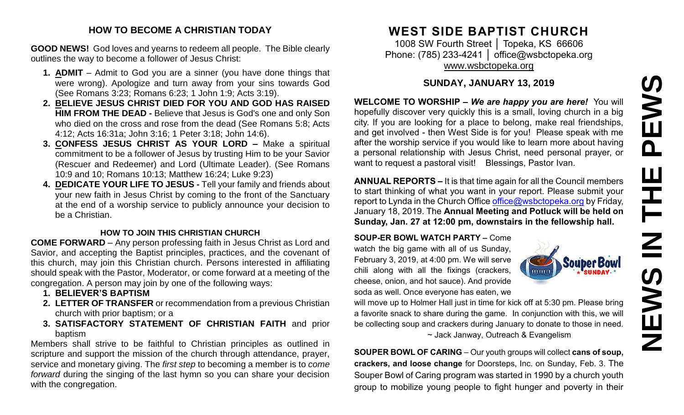# PEWS **NEWS IN THE PEWS**Ш ᅩ  $\overline{\mathbf{z}}$ EWS Z

## **HOW TO BECOME A CHRISTIAN TODAY**

**GOOD NEWS!** God loves and yearns to redeem all people. The Bible clearly outlines the way to become a follower of Jesus Christ:

- **1. ADMIT** Admit to God you are a sinner (you have done things that were wrong). Apologize and turn away from your sins towards God (See Romans 3:23; Romans 6:23; 1 John 1:9; Acts 3:19).
- **2. BELIEVE JESUS CHRIST DIED FOR YOU AND GOD HAS RAISED HIM FROM THE DEAD -** Believe that Jesus is God's one and only Son who died on the cross and rose from the dead (See Romans 5:8; Acts 4:12; Acts 16:31a; John 3:16; 1 Peter 3:18; John 14:6).
- **3. CONFESS JESUS CHRIST AS YOUR LORD –** Make a spiritual commitment to be a follower of Jesus by trusting Him to be your Savior (Rescuer and Redeemer) and Lord (Ultimate Leader). (See Romans 10:9 and 10; Romans 10:13; Matthew 16:24; Luke 9:23)
- **4. DEDICATE YOUR LIFE TO JESUS -** Tell your family and friends about your new faith in Jesus Christ by coming to the front of the Sanctuary at the end of a worship service to publicly announce your decision to be a Christian.

#### **HOW TO JOIN THIS CHRISTIAN CHURCH**

**COME FORWARD** – Any person professing faith in Jesus Christ as Lord and Savior, and accepting the Baptist principles, practices, and the covenant of this church, may join this Christian church. Persons interested in affiliating should speak with the Pastor, Moderator, or come forward at a meeting of the congregation. A person may join by one of the following ways:

- **1. BELIEVER'S BAPTISM**
- **2. LETTER OF TRANSFER** or recommendation from a previous Christian church with prior baptism; or a
- **3. SATISFACTORY STATEMENT OF CHRISTIAN FAITH** and prior baptism

Members shall strive to be faithful to Christian principles as outlined in scripture and support the mission of the church through attendance, prayer, service and monetary giving. The *first step* to becoming a member is to *come forward* during the singing of the last hymn so you can share your decision with the congregation.

# **WEST SIDE BAPTIST CHURCH**

1008 SW Fourth Street | Topeka, KS 66606 Phone: (785) 233-4241 │ [office@wsbctopeka.org](mailto:office@wsbctopeka.org) [www.wsbctopeka.org](http://www.wsbctopeka.org/)

# **SUNDAY, JANUARY 13, 2019**

**WELCOME TO WORSHIP –** *We are happy you are here!* You will hopefully discover very quickly this is a small, loving church in a big city. If you are looking for a place to belong, make real friendships, and get involved - then West Side is for you! Please speak with me after the worship service if you would like to learn more about having a personal relationship with Jesus Christ, need personal prayer, or want to request a pastoral visit! Blessings, Pastor Ivan.

**ANNUAL REPORTS –** It is that time again for all the Council members to start thinking of what you want in your report. Please submit your report to Lynda in the Church Office [office@wsbctopeka.org](mailto:office@wsbctopeka.org) by Friday, January 18, 2019. The **Annual Meeting and Potluck will be held on Sunday, Jan. 27 at 12:00 pm, downstairs in the fellowship hall.** 

**SOUP-ER BOWL WATCH PARTY –** Come watch the big game with all of us Sunday, February 3, 2019, at 4:00 pm. We will serve chili along with all the fixings (crackers, cheese, onion, and hot sauce). And provide soda as well. Once everyone has eaten, we



will move up to Holmer Hall just in time for kick off at 5:30 pm. Please bring a favorite snack to share during the game. In conjunction with this, we will be collecting soup and crackers during January to donate to those in need. ~ Jack Janway, Outreach & Evangelism

**SOUPER BOWL OF CARING** – Our youth groups will collect **cans of soup, crackers, and loose change** for Doorsteps, Inc. on Sunday, Feb. 3. The Souper Bowl of Caring program was started in 1990 by a church youth group to mobilize young people to fight hunger and poverty in their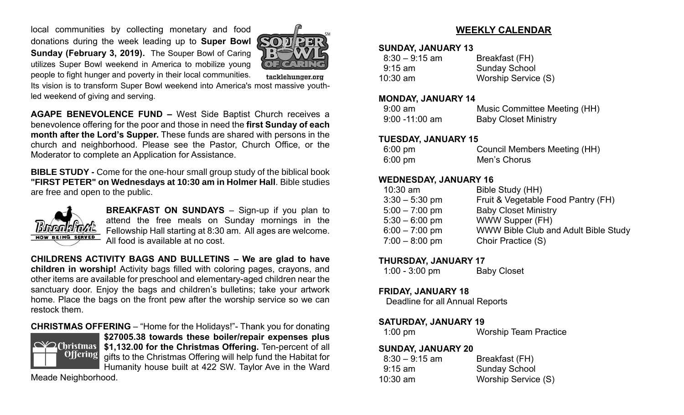local communities by collecting monetary and food donations during the week leading up to **Super Bowl Sunday (February 3, 2019).** The Souper Bowl of Caring utilizes Super Bowl weekend in America to mobilize young people to fight hunger and poverty in their local communities.



tacklehunger.org

Its vision is to transform Super Bowl weekend into America's most massive youthled weekend of giving and serving.

**AGAPE BENEVOLENCE FUND –** West Side Baptist Church receives a benevolence offering for the poor and those in need the **first Sunday of each month after the Lord's Supper.** These funds are shared with persons in the church and neighborhood. Please see the Pastor, Church Office, or the Moderator to complete an Application for Assistance.

**BIBLE STUDY -** Come for the one-hour small group study of the biblical book **"FIRST PETER" on Wednesdays at 10:30 am in Holmer Hall**. Bible studies are free and open to the public.



**BREAKFAST ON SUNDAYS** – Sign-up if you plan to attend the free meals on Sunday mornings in the Fellowship Hall starting at 8:30 am. All ages are welcome. All food is available at no cost.

**CHILDRENS ACTIVITY BAGS AND BULLETINS – We are glad to have children in worship!** Activity bags filled with coloring pages, crayons, and other items are available for preschool and elementary-aged children near the sanctuary door. Enjoy the bags and children's bulletins; take your artwork home. Place the bags on the front pew after the worship service so we can restock them.

#### **CHRISTMAS OFFERING** – "Home for the Holidays!"- Thank you for donating



**\$27005.38 towards these boiler/repair expenses plus \$1,132.00 for the Christmas Offering.** Ten-percent of all gifts to the Christmas Offering will help fund the Habitat for Humanity house built at 422 SW. Taylor Ave in the Ward

Meade Neighborhood.

# **WEEKLY CALENDAR**

#### **SUNDAY, JANUARY 13**

| $8:30 - 9:15$ am | Breakfast (FH)       |
|------------------|----------------------|
| $9:15$ am        | <b>Sunday School</b> |
| $10:30$ am       | Worship Service (S)  |

#### **MONDAY, JANUARY 14**

| $9:00 \text{ am}$ | Music Committee Meeting (HH) |
|-------------------|------------------------------|
| $9:00 - 11:00$ am | <b>Baby Closet Ministry</b>  |

#### **TUESDAY, JANUARY 15**

| 6:00 pm | <b>Council Members Meeting (HH)</b> |
|---------|-------------------------------------|
| 6:00 pm | Men's Chorus                        |

## **WEDNESDAY, JANUARY 16**

| $10:30$ am       | Bible Study (HH)                     |
|------------------|--------------------------------------|
| $3:30 - 5:30$ pm | Fruit & Vegetable Food Pantry (FH)   |
| $5:00 - 7:00$ pm | <b>Baby Closet Ministry</b>          |
| $5:30 - 6:00$ pm | <b>WWW Supper (FH)</b>               |
| $6:00 - 7:00$ pm | WWW Bible Club and Adult Bible Study |
| $7:00 - 8:00$ pm | Choir Practice (S)                   |
|                  |                                      |

#### **THURSDAY, JANUARY 17**

| $1:00 - 3:00$ pm | <b>Baby Closet</b> |
|------------------|--------------------|
|------------------|--------------------|

## **FRIDAY, JANUARY 18**

Deadline for all Annual Reports

# **SATURDAY, JANUARY 19**

| $1:00 \text{ pm}$ | <b>Worship Team Practice</b> |
|-------------------|------------------------------|
|                   |                              |

#### **SUNDAY, JANUARY 20**

| $8:30 - 9:15$ am | Breakfast (FH)       |
|------------------|----------------------|
| $9:15$ am        | <b>Sunday School</b> |
| $10:30$ am       | Worship Service (S)  |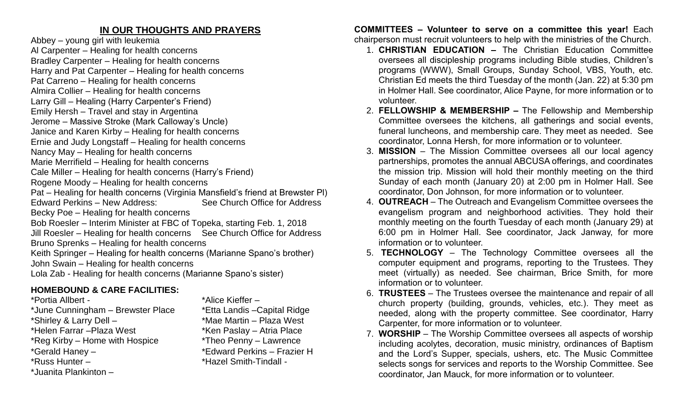# **IN OUR THOUGHTS AND PRAYERS**

Abbey – young girl with leukemia

Al Carpenter – Healing for health concerns Bradley Carpenter – Healing for health concerns

Harry and Pat Carpenter – Healing for health concerns

- Pat Carreno Healing for health concerns
- Almira Collier Healing for health concerns
- Larry Gill Healing (Harry Carpenter's Friend)
- Emily Hersh Travel and stay in Argentina
- Jerome Massive Stroke (Mark Calloway's Uncle)
- Janice and Karen Kirby Healing for health concerns
- Ernie and Judy Longstaff Healing for health concerns
- Nancy May Healing for health concerns
- Marie Merrifield Healing for health concerns
- Cale Miller Healing for health concerns (Harry's Friend)
- Rogene Moody Healing for health concerns
- Pat Healing for health concerns (Virginia Mansfield's friend at Brewster Pl) Edward Perkins – New Address: See Church Office for Address Becky Poe – Healing for health concerns
- Bob Roesler Interim Minister at FBC of Topeka, starting Feb. 1, 2018
- Jill Roesler Healing for health concerns See Church Office for Address Bruno Sprenks – Healing for health concerns
- Keith Springer Healing for health concerns (Marianne Spano's brother) John Swain – Healing for health concerns
- Lola Zab Healing for health concerns (Marianne Spano's sister)

# **HOMEBOUND & CARE FACILITIES:**

- \*Portia Allbert \*Alice Kieffer –
- \*June Cunningham Brewster Place \*Etta Landis –Capital Ridge
- 
- \*Helen Farrar Plaza West \*Ken Paslay Atria Place
- 
- 
- 
- \*Juanita Plankinton –

\*Shirley & Larry Dell – \*Mae Martin – Plaza West \*Reg Kirby – Home with Hospice \*Theo Penny – Lawrence<br>\*Gerald Haney – \* \*Edward Perkins – Frazie \*Edward Perkins – Frazier H \*Russ Hunter – \* \*Hazel Smith-Tindall -

**COMMITTEES – Volunteer to serve on a committee this year!** Each chairperson must recruit volunteers to help with the ministries of the Church.

- 1. **CHRISTIAN EDUCATION –** The Christian Education Committee oversees all discipleship programs including Bible studies, Children's programs (WWW), Small Groups, Sunday School, VBS, Youth, etc. Christian Ed meets the third Tuesday of the month (Jan. 22) at 5:30 pm in Holmer Hall. See coordinator, Alice Payne, for more information or to volunteer.
- 2. **FELLOWSHIP & MEMBERSHIP –** The Fellowship and Membership Committee oversees the kitchens, all gatherings and social events, funeral luncheons, and membership care. They meet as needed. See coordinator, Lonna Hersh, for more information or to volunteer.
- 3. **MISSION** The Mission Committee oversees all our local agency partnerships, promotes the annual ABCUSA offerings, and coordinates the mission trip. Mission will hold their monthly meeting on the third Sunday of each month (January 20) at 2:00 pm in Holmer Hall. See coordinator, Don Johnson, for more information or to volunteer.
- 4. **OUTREACH** The Outreach and Evangelism Committee oversees the evangelism program and neighborhood activities. They hold their monthly meeting on the fourth Tuesday of each month (January 29) at 6:00 pm in Holmer Hall. See coordinator, Jack Janway, for more information or to volunteer.
- 5. **TECHNOLOGY** The Technology Committee oversees all the computer equipment and programs, reporting to the Trustees. They meet (virtually) as needed. See chairman, Brice Smith, for more information or to volunteer.
- 6. **TRUSTEES**  The Trustees oversee the maintenance and repair of all church property (building, grounds, vehicles, etc.). They meet as needed, along with the property committee. See coordinator, Harry Carpenter, for more information or to volunteer.
- 7. **WORSHIP** The Worship Committee oversees all aspects of worship including acolytes, decoration, music ministry, ordinances of Baptism and the Lord's Supper, specials, ushers, etc. The Music Committee selects songs for services and reports to the Worship Committee. See coordinator, Jan Mauck, for more information or to volunteer.